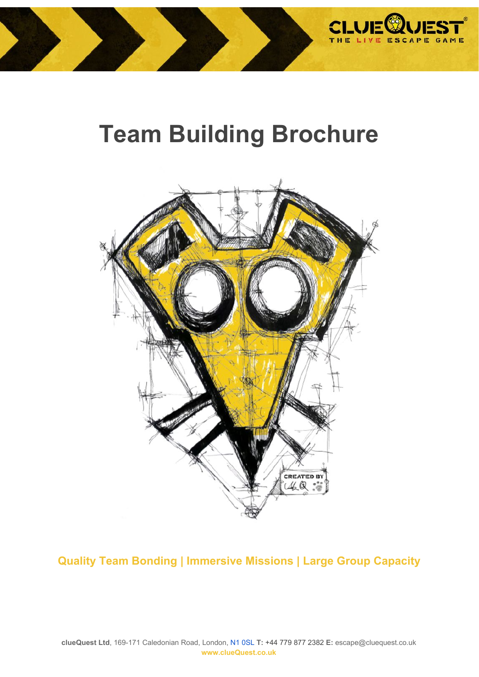

# **Team Building Brochure**



**Quality Team Bonding | Immersive Missions | Large Group Capacity**

**clueQuest Ltd**, 169-171 Caledonian Road, London, [N1 0SL](https://www.google.co.uk/maps/place/clueQuest/@51.5362704,-0.1190598,17z/data=!3m1!4b1!4m5!3m4!1s0x48761c2594175a1b:0x6bd94dcf9e5b2dc0!8m2!3d51.5362671!4d-0.1168711) **T:** +44 779 877 2382 **E:** escape@cluequest.co.uk **www.clueQuest.co.uk**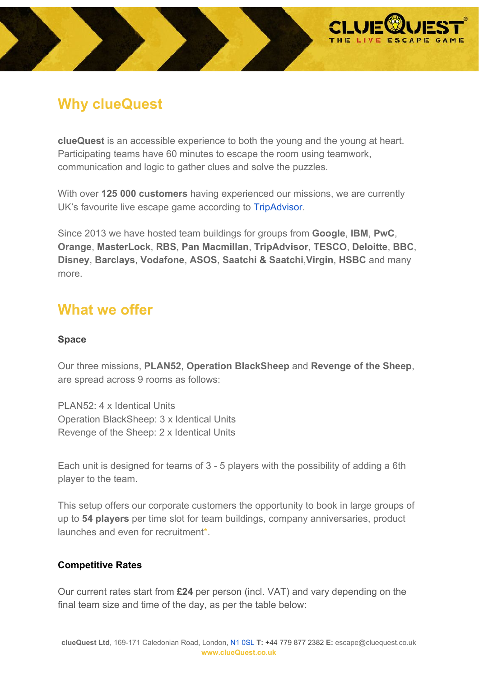

# **Why clueQuest**

**clueQuest** is an accessible experience to both the young and the young at heart. Participating teams have 60 minutes to escape the room using teamwork, communication and logic to gather clues and solve the puzzles.

With over **125 000 customers** having experienced our missions, we are currently UK's favourite live escape game according to [TripAdvisor.](https://www.tripadvisor.co.uk/Attractions-g186217-Activities-c56-t208-England.html)

Since 2013 we have hosted team buildings for groups from **Google**, **IBM**, **PwC**, **Orange**, **MasterLock**, **RBS**, **Pan Macmillan**, **TripAdvisor**, **TESCO**, **Deloitte**, **BBC**, **Disney**, **Barclays**, **Vodafone**, **ASOS**, **Saatchi & Saatchi**,**Virgin**, **HSBC** and many more.

# **What we offer**

### **Space**

Our three missions, **[PLAN52](https://cluequest.co.uk/escape-room-missions/plan52)**, **[Operation BlackSheep](https://cluequest.co.uk/escape-room-missions/operation-blacksheep)** and **[Revenge of the Sheep](https://cluequest.co.uk/escape-room-missions/revenge-of-the-sheep)**, are spread across 9 rooms as follows:

PLAN52: 4 x Identical Units Operation BlackSheep: 3 x Identical Units Revenge of the Sheep: 2 x Identical Units

Each unit is designed for teams of 3 - 5 players with the possibility of adding a 6th player to the team.

This setup offers our corporate customers the opportunity to book in large groups of up to **54 players** per time slot for team buildings, company anniversaries, product launches and even for recruitment\*.

### **Competitive Rates**

Our current rates start from **£24** per person (incl. VAT) and vary depending on the final team size and time of the day, as per the table below: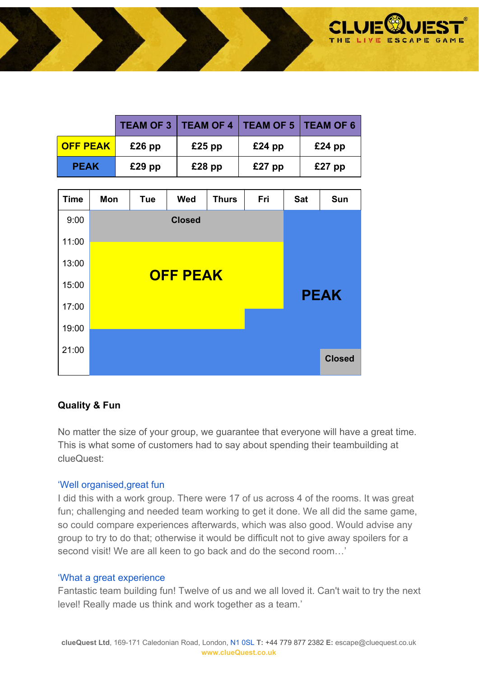

|                 |          |          | <b>TEAM OF 3   TEAM OF 4   TEAM OF 5   TEAM OF 6</b> |          |
|-----------------|----------|----------|------------------------------------------------------|----------|
| <b>OFF PEAK</b> | $£26$ pp | $£25$ pp | $£24$ pp                                             | $£24$ pp |
| <b>PEAK</b>     | $£29$ pp | $£28$ pp | $£27$ pp                                             | $£27$ pp |

| <b>Time</b> | Mon             | <b>Tue</b> | <b>Wed</b> | <b>Thurs</b> | Fri | <b>Sat</b> | Sun           |  |
|-------------|-----------------|------------|------------|--------------|-----|------------|---------------|--|
| 9:00        |                 |            |            |              |     |            |               |  |
| 11:00       |                 |            |            |              |     |            |               |  |
| 13:00       |                 |            |            |              |     |            |               |  |
| 15:00       | <b>OFF PEAK</b> |            |            |              |     |            | <b>PEAK</b>   |  |
| 17:00       |                 |            |            |              |     |            |               |  |
| 19:00       |                 |            |            |              |     |            |               |  |
| 21:00       |                 |            |            |              |     |            |               |  |
|             |                 |            |            |              |     |            | <b>Closed</b> |  |

#### **Quality & Fun**

No matter the size of your group, we guarantee that everyone will have a great time. This is what some of customers had to say about spending their teambuilding at clueQuest:

#### ['Well organised,great fun](https://www.tripadvisor.co.uk/ShowUserReviews-g186338-d4283371-r452282766-ClueQuest_The_Live_Escape_Game-London_England.html)

I did this with a work group. There were 17 of us across 4 of the rooms. It was great fun; challenging and needed team working to get it done. We all did the same game, so could compare experiences afterwards, which was also good. Would advise any group to try to do that; otherwise it would be difficult not to give away spoilers for a second visit! We are all keen to go back and do the second room…'

#### ['What a great experience](https://www.tripadvisor.co.uk/ShowUserReviews-g186338-d4283371-r444650505-ClueQuest_The_Live_Escape_Game-London_England.html)

Fantastic team building fun! Twelve of us and we all loved it. Can't wait to try the next level! Really made us think and work together as a team.'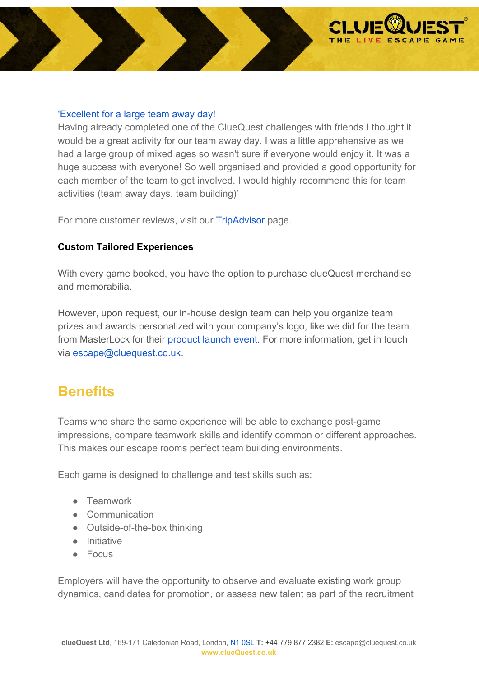

#### ['Excellent for a large team away day!](https://www.tripadvisor.co.uk/ShowUserReviews-g186338-d4283371-r444461554-ClueQuest_The_Live_Escape_Game-London_England.html)

Having already completed one of the ClueQuest challenges with friends I thought it would be a great activity for our team away day. I was a little apprehensive as we had a large group of mixed ages so wasn't sure if everyone would enjoy it. It was a huge success with everyone! So well organised and provided a good opportunity for each member of the team to get involved. I would highly recommend this for team activities (team away days, team building)'

For more customer reviews, visit our [TripAdvisor](https://www.tripadvisor.co.uk/Attraction_Review-g186338-d4283371-Reviews-ClueQuest_The_Live_Escape_Game-London_England.html) page.

#### **Custom Tailored Experiences**

With every game booked, you have the option to purchase clueQuest merchandise and memorabilia.

However, upon request, our in-house design team can help you organize team prizes and awards personalized with your company's logo, like we did for the team from MasterLock for their [product launch event.](https://www.youtube.com/watch?v=PAugY5-9gfA&t=19s) For more information, get in touch via [escape@cluequest.co.uk](mailto:escape@cluequest.co.uk).

### **Benefits**

Teams who share the same experience will be able to exchange post-game impressions, compare teamwork skills and identify common or different approaches. This makes our escape rooms perfect team building environments.

Each game is designed to challenge and test skills such as:

- Teamwork
- Communication
- Outside-of-the-box thinking
- Initiative
- Focus

Employers will have the opportunity to observe and evaluate existing work group dynamics, candidates for promotion, or assess new talent as part of the recruitment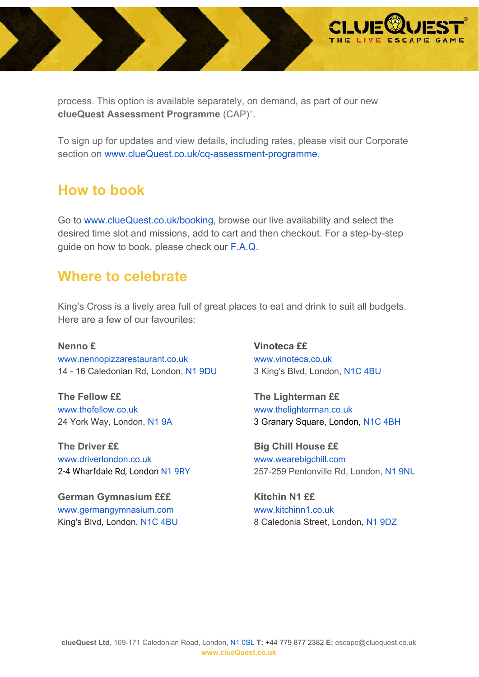

process. This option is available separately, on demand, as part of our new **clueQuest Assessment Programme** (CAP)\*.

To sign up for updates and view details, including rates, please visit our Corporate section on [www.clueQuest.co.uk/cq-assessment-programme.](https://cluequest.co.uk/cq-assessment-programme)

# **How to book**

Go to [www.clueQuest.co.uk/booking,](http://www.cluequest.co.uk/booking) browse our live availability and select the desired time slot and missions, add to cart and then checkout. For a step-by-step guide on how to book, please check our [F.A.Q.](https://cluequest.co.uk/faq)

### **Where to celebrate**

King's Cross is a lively area full of great places to eat and drink to suit all budgets. Here are a few of our favourites:

**Nenno £** [www.nennopizzarestaurant.co.uk](http://www.nennopizzarestaurant.co.uk/) 14 - 16 Caledonian Rd, London, N1 [9DU](https://www.google.com/maps?ll=51.531434,-0.120708&z=16&t=m&hl=en-GB&gl=GB&mapclient=embed&q=N1+9DU+Caledonian+Rd+Kings+Cross,+London)

**The Fellow ££** [www.thefellow.co.uk](http://www.thefellow.co.uk/) 24 York Way, London, [N1](https://www.google.co.uk/maps/place/The+Fellow/@51.5316433,-0.1244527,17z/data=!3m1!4b1!4m5!3m4!1s0x48761b3eb1364ea3:0xa82346e8b3694381!8m2!3d51.53164!4d-0.122264) 9A

**[The Driver](http://www.driverlondon.co.uk/) ££** [www.driverlondon.co.uk](http://www.driverlondon.co.uk/) 2-4 Wharfdale Rd, London N1 [9RY](https://www.google.co.uk/maps/place/The+Driver/@51.533629,-0.1210597,17z/data=!3m1!4b1!4m5!3m4!1s0x48761b3f9f3e3de9:0xb66bef17d2fd1d8b!8m2!3d51.533629!4d-0.118871)

**German Gymnasium £££** [www.germangymnasium.com](http://www.germangymnasium.com/) King's Blvd, London, [N1C](https://www.google.co.uk/maps?q=german+gymnasium&um=1&ie=UTF-8&sa=X&ved=0ahUKEwjclefTpprUAhUMK8AKHfqVBBsQ_AUICigB) 4BU **Vinoteca ££** [www.vinoteca.co.uk](http://www.vinoteca.co.uk/) 3 King's Blvd, London, [N1C](https://www.google.co.uk/maps/place/Vinoteca+Kings+Cross/@51.5328159,-0.1272508,17z/data=!3m1!4b1!4m5!3m4!1s0x48761b3c3635d243:0xb02fa0185b43ec7!8m2!3d51.5328159!4d-0.1250621) 4BU

**The Lighterman ££** [www.thelighterman.co.uk](http://www.thelighterman.co.uk/) 3 Granary Square, London, [N1C](https://www.google.co.uk/maps/place/The+Lighterman/@51.53526,-0.1265647,17z/data=!3m1!4b1!4m5!3m4!1s0x48761b3dee308531:0xcc0087be4a99b17f!8m2!3d51.53526!4d-0.124376) 4BH

**Big Chill House ££** [www.wearebigchill.com](http://wearebigchill.com/house/) 257-259 Pentonville Rd, London, N1 [9NL](https://www.google.co.uk/maps/place/Big+Chill+House/@51.530808,-0.1220757,17z/data=!3m1!4b1!4m5!3m4!1s0x48761b3f2cd939d5:0x63b2083160f793bf!8m2!3d51.530808!4d-0.119887)

**Kitchin N1 ££** [www.kitchinn1.co.uk](http://www.kitchinn1.co.uk/) 8 Caledonia Street, London, N1 [9DZ](https://www.google.com/maps/place/8+Caledonia+St,+Kings+Cross,+London+N1+9AA,+UK/@51.5316467,-0.1217145,20.5z/data=!4m5!3m4!1s0x48761b3ec41eaaf1:0xbbc3399c8aa159f8!8m2!3d51.5316399!4d-0.121536?hl=en-GB)